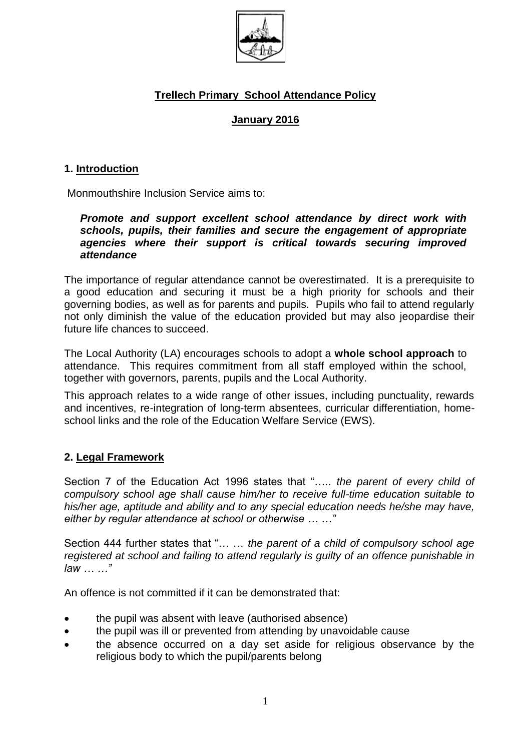

# **Trellech Primary School Attendance Policy**

### **January 2016**

#### **1. Introduction**

Monmouthshire Inclusion Service aims to:

#### *Promote and support excellent school attendance by direct work with schools, pupils, their families and secure the engagement of appropriate agencies where their support is critical towards securing improved attendance*

The importance of regular attendance cannot be overestimated. It is a prerequisite to a good education and securing it must be a high priority for schools and their governing bodies, as well as for parents and pupils. Pupils who fail to attend regularly not only diminish the value of the education provided but may also jeopardise their future life chances to succeed.

The Local Authority (LA) encourages schools to adopt a **whole school approach** to attendance. This requires commitment from all staff employed within the school, together with governors, parents, pupils and the Local Authority.

This approach relates to a wide range of other issues, including punctuality, rewards and incentives, re-integration of long-term absentees, curricular differentiation, homeschool links and the role of the Education Welfare Service (EWS).

#### **2. Legal Framework**

Section 7 of the Education Act 1996 states that "….. *the parent of every child of compulsory school age shall cause him/her to receive full-time education suitable to his/her age, aptitude and ability and to any special education needs he/she may have, either by regular attendance at school or otherwise … …"*

Section 444 further states that "… … *the parent of a child of compulsory school age registered at school and failing to attend regularly is guilty of an offence punishable in law … …"*

An offence is not committed if it can be demonstrated that:

- the pupil was absent with leave (authorised absence)
- the pupil was ill or prevented from attending by unavoidable cause
- the absence occurred on a day set aside for religious observance by the religious body to which the pupil/parents belong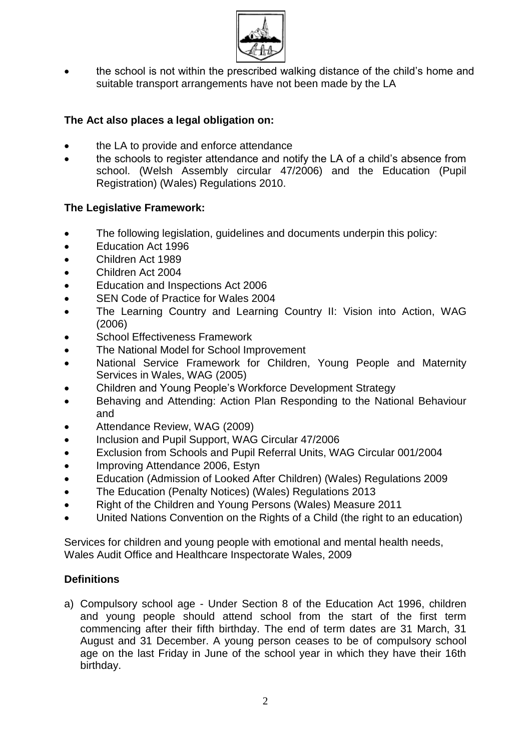

 the school is not within the prescribed walking distance of the child's home and suitable transport arrangements have not been made by the LA

# **The Act also places a legal obligation on:**

- the LA to provide and enforce attendance
- the schools to register attendance and notify the LA of a child's absence from school. (Welsh Assembly circular 47/2006) and the Education (Pupil Registration) (Wales) Regulations 2010.

# **The Legislative Framework:**

- The following legislation, guidelines and documents underpin this policy:
- Education Act 1996
- Children Act 1989
- Children Act 2004
- Education and Inspections Act 2006
- SEN Code of Practice for Wales 2004
- The Learning Country and Learning Country II: Vision into Action, WAG (2006)
- School Effectiveness Framework
- The National Model for School Improvement
- National Service Framework for Children, Young People and Maternity Services in Wales, WAG (2005)
- Children and Young People's Workforce Development Strategy
- Behaving and Attending: Action Plan Responding to the National Behaviour and
- Attendance Review, WAG (2009)
- Inclusion and Pupil Support, WAG Circular 47/2006
- Exclusion from Schools and Pupil Referral Units, WAG Circular 001/2004
- Improving Attendance 2006, Estyn
- Education (Admission of Looked After Children) (Wales) Regulations 2009
- The Education (Penalty Notices) (Wales) Regulations 2013
- Right of the Children and Young Persons (Wales) Measure 2011
- United Nations Convention on the Rights of a Child (the right to an education)

Services for children and young people with emotional and mental health needs, Wales Audit Office and Healthcare Inspectorate Wales, 2009

#### **Definitions**

a) Compulsory school age - Under Section 8 of the Education Act 1996, children and young people should attend school from the start of the first term commencing after their fifth birthday. The end of term dates are 31 March, 31 August and 31 December. A young person ceases to be of compulsory school age on the last Friday in June of the school year in which they have their 16th birthday.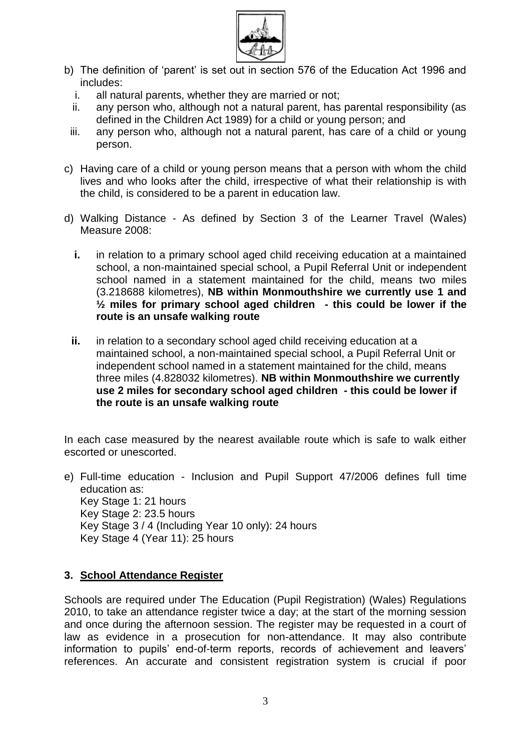

- b) The definition of 'parent' is set out in section 576 of the Education Act 1996 and includes:
	- i. all natural parents, whether they are married or not;
	- ii. any person who, although not a natural parent, has parental responsibility (as defined in the Children Act 1989) for a child or young person; and
	- iii. any person who, although not a natural parent, has care of a child or young person.
- c) Having care of a child or young person means that a person with whom the child lives and who looks after the child, irrespective of what their relationship is with the child, is considered to be a parent in education law.
- d) Walking Distance As defined by Section 3 of the Learner Travel (Wales) Measure 2008:
	- **i.** in relation to a primary school aged child receiving education at a maintained school, a non-maintained special school, a Pupil Referral Unit or independent school named in a statement maintained for the child, means two miles (3.218688 kilometres), **NB within Monmouthshire we currently use 1 and ½ miles for primary school aged children - this could be lower if the route is an unsafe walking route**
	- **ii.** in relation to a secondary school aged child receiving education at a maintained school, a non-maintained special school, a Pupil Referral Unit or independent school named in a statement maintained for the child, means three miles (4.828032 kilometres). **NB within Monmouthshire we currently use 2 miles for secondary school aged children - this could be lower if the route is an unsafe walking route**

In each case measured by the nearest available route which is safe to walk either escorted or unescorted.

e) Full-time education - Inclusion and Pupil Support 47/2006 defines full time education as: Key Stage 1: 21 hours Key Stage 2: 23.5 hours Key Stage 3 / 4 (Including Year 10 only): 24 hours Key Stage 4 (Year 11): 25 hours

#### **3. School Attendance Register**

Schools are required under The Education (Pupil Registration) (Wales) Regulations 2010, to take an attendance register twice a day; at the start of the morning session and once during the afternoon session. The register may be requested in a court of law as evidence in a prosecution for non-attendance. It may also contribute information to pupils' end-of-term reports, records of achievement and leavers' references. An accurate and consistent registration system is crucial if poor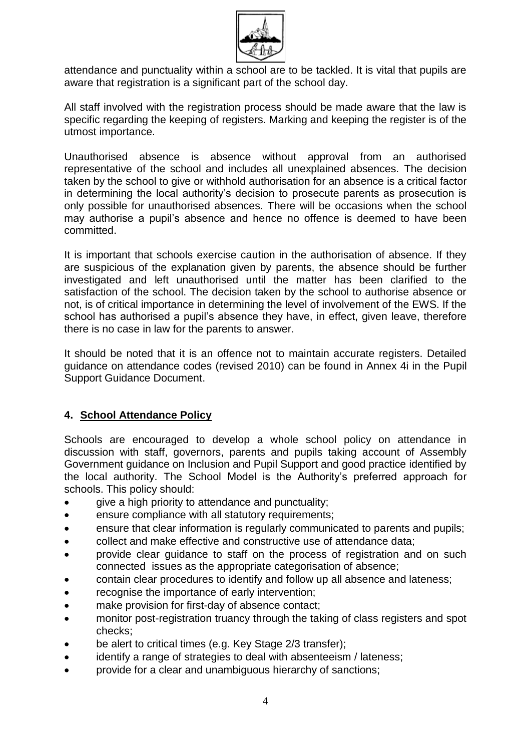

attendance and punctuality within a school are to be tackled. It is vital that pupils are aware that registration is a significant part of the school day.

All staff involved with the registration process should be made aware that the law is specific regarding the keeping of registers. Marking and keeping the register is of the utmost importance.

Unauthorised absence is absence without approval from an authorised representative of the school and includes all unexplained absences. The decision taken by the school to give or withhold authorisation for an absence is a critical factor in determining the local authority's decision to prosecute parents as prosecution is only possible for unauthorised absences. There will be occasions when the school may authorise a pupil's absence and hence no offence is deemed to have been committed.

It is important that schools exercise caution in the authorisation of absence. If they are suspicious of the explanation given by parents, the absence should be further investigated and left unauthorised until the matter has been clarified to the satisfaction of the school. The decision taken by the school to authorise absence or not, is of critical importance in determining the level of involvement of the EWS. If the school has authorised a pupil's absence they have, in effect, given leave, therefore there is no case in law for the parents to answer.

It should be noted that it is an offence not to maintain accurate registers. Detailed guidance on attendance codes (revised 2010) can be found in Annex 4i in the Pupil Support Guidance Document.

# **4. School Attendance Policy**

Schools are encouraged to develop a whole school policy on attendance in discussion with staff, governors, parents and pupils taking account of Assembly Government guidance on Inclusion and Pupil Support and good practice identified by the local authority. The School Model is the Authority's preferred approach for schools. This policy should:

- give a high priority to attendance and punctuality;
- ensure compliance with all statutory requirements;
- ensure that clear information is regularly communicated to parents and pupils;
- collect and make effective and constructive use of attendance data;
- provide clear guidance to staff on the process of registration and on such connected issues as the appropriate categorisation of absence;
- contain clear procedures to identify and follow up all absence and lateness;
- recognise the importance of early intervention;
- make provision for first-day of absence contact;
- monitor post-registration truancy through the taking of class registers and spot checks;
- be alert to critical times (e.g. Key Stage 2/3 transfer);
- identify a range of strategies to deal with absenteeism / lateness;
- provide for a clear and unambiguous hierarchy of sanctions;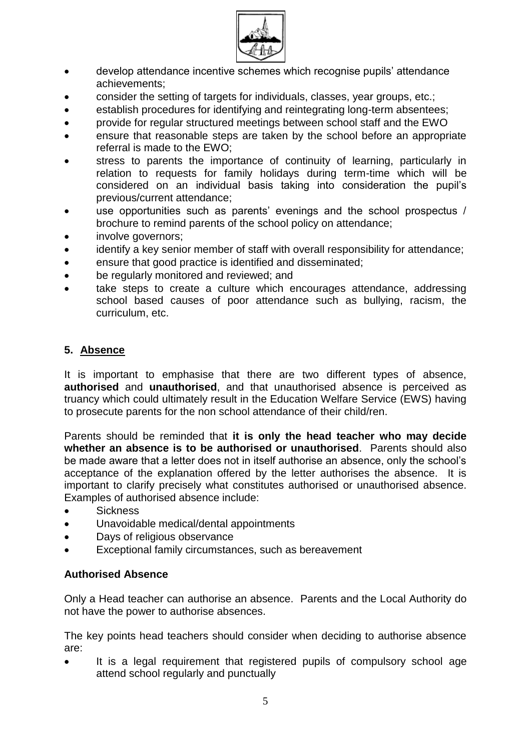

- develop attendance incentive schemes which recognise pupils' attendance achievements;
- consider the setting of targets for individuals, classes, year groups, etc.;
- establish procedures for identifying and reintegrating long-term absentees;
- provide for regular structured meetings between school staff and the EWO
- ensure that reasonable steps are taken by the school before an appropriate referral is made to the EWO;
- stress to parents the importance of continuity of learning, particularly in relation to requests for family holidays during term-time which will be considered on an individual basis taking into consideration the pupil's previous/current attendance;
- use opportunities such as parents' evenings and the school prospectus / brochure to remind parents of the school policy on attendance;
- involve governors;
- identify a key senior member of staff with overall responsibility for attendance;
- ensure that good practice is identified and disseminated;
- be regularly monitored and reviewed; and
- take steps to create a culture which encourages attendance, addressing school based causes of poor attendance such as bullying, racism, the curriculum, etc.

# **5. Absence**

It is important to emphasise that there are two different types of absence, **authorised** and **unauthorised**, and that unauthorised absence is perceived as truancy which could ultimately result in the Education Welfare Service (EWS) having to prosecute parents for the non school attendance of their child/ren.

Parents should be reminded that **it is only the head teacher who may decide whether an absence is to be authorised or unauthorised**. Parents should also be made aware that a letter does not in itself authorise an absence, only the school's acceptance of the explanation offered by the letter authorises the absence. It is important to clarify precisely what constitutes authorised or unauthorised absence. Examples of authorised absence include:

- **Sickness**
- Unavoidable medical/dental appointments
- Days of religious observance
- Exceptional family circumstances, such as bereavement

#### **Authorised Absence**

Only a Head teacher can authorise an absence. Parents and the Local Authority do not have the power to authorise absences.

The key points head teachers should consider when deciding to authorise absence are:

 It is a legal requirement that registered pupils of compulsory school age attend school regularly and punctually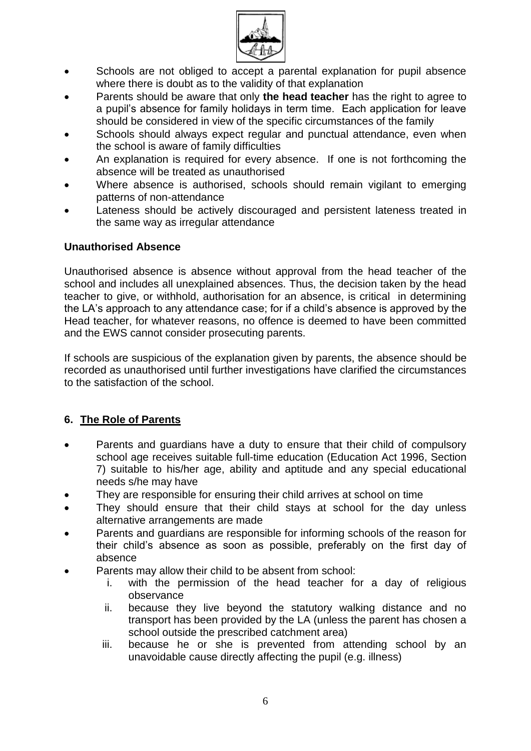

- Schools are not obliged to accept a parental explanation for pupil absence where there is doubt as to the validity of that explanation
- Parents should be aware that only **the head teacher** has the right to agree to a pupil's absence for family holidays in term time. Each application for leave should be considered in view of the specific circumstances of the family
- Schools should always expect regular and punctual attendance, even when the school is aware of family difficulties
- An explanation is required for every absence. If one is not forthcoming the absence will be treated as unauthorised
- Where absence is authorised, schools should remain vigilant to emerging patterns of non-attendance
- Lateness should be actively discouraged and persistent lateness treated in the same way as irregular attendance

# **Unauthorised Absence**

Unauthorised absence is absence without approval from the head teacher of the school and includes all unexplained absences. Thus, the decision taken by the head teacher to give, or withhold, authorisation for an absence, is critical in determining the LA's approach to any attendance case; for if a child's absence is approved by the Head teacher, for whatever reasons, no offence is deemed to have been committed and the EWS cannot consider prosecuting parents.

If schools are suspicious of the explanation given by parents, the absence should be recorded as unauthorised until further investigations have clarified the circumstances to the satisfaction of the school.

# **6. The Role of Parents**

- Parents and guardians have a duty to ensure that their child of compulsory school age receives suitable full-time education (Education Act 1996, Section 7) suitable to his/her age, ability and aptitude and any special educational needs s/he may have
- They are responsible for ensuring their child arrives at school on time
- They should ensure that their child stays at school for the day unless alternative arrangements are made
- Parents and guardians are responsible for informing schools of the reason for their child's absence as soon as possible, preferably on the first day of absence
- Parents may allow their child to be absent from school:
	- i. with the permission of the head teacher for a day of religious observance
	- ii. because they live beyond the statutory walking distance and no transport has been provided by the LA (unless the parent has chosen a school outside the prescribed catchment area)
	- iii. because he or she is prevented from attending school by an unavoidable cause directly affecting the pupil (e.g. illness)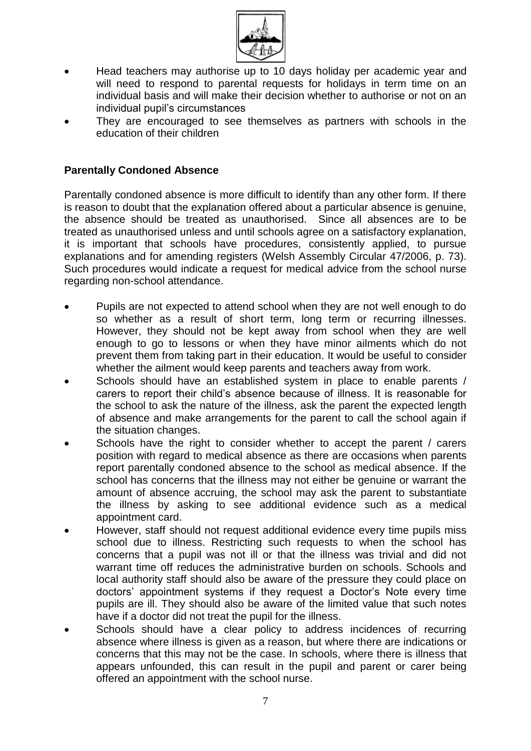

- Head teachers may authorise up to 10 days holiday per academic year and will need to respond to parental requests for holidays in term time on an individual basis and will make their decision whether to authorise or not on an individual pupil's circumstances
- They are encouraged to see themselves as partners with schools in the education of their children

### **Parentally Condoned Absence**

Parentally condoned absence is more difficult to identify than any other form. If there is reason to doubt that the explanation offered about a particular absence is genuine, the absence should be treated as unauthorised. Since all absences are to be treated as unauthorised unless and until schools agree on a satisfactory explanation, it is important that schools have procedures, consistently applied, to pursue explanations and for amending registers (Welsh Assembly Circular 47/2006, p. 73). Such procedures would indicate a request for medical advice from the school nurse regarding non-school attendance.

- Pupils are not expected to attend school when they are not well enough to do so whether as a result of short term, long term or recurring illnesses. However, they should not be kept away from school when they are well enough to go to lessons or when they have minor ailments which do not prevent them from taking part in their education. It would be useful to consider whether the ailment would keep parents and teachers away from work.
- Schools should have an established system in place to enable parents / carers to report their child's absence because of illness. It is reasonable for the school to ask the nature of the illness, ask the parent the expected length of absence and make arrangements for the parent to call the school again if the situation changes.
- Schools have the right to consider whether to accept the parent / carers position with regard to medical absence as there are occasions when parents report parentally condoned absence to the school as medical absence. If the school has concerns that the illness may not either be genuine or warrant the amount of absence accruing, the school may ask the parent to substantiate the illness by asking to see additional evidence such as a medical appointment card.
- However, staff should not request additional evidence every time pupils miss school due to illness. Restricting such requests to when the school has concerns that a pupil was not ill or that the illness was trivial and did not warrant time off reduces the administrative burden on schools. Schools and local authority staff should also be aware of the pressure they could place on doctors' appointment systems if they request a Doctor's Note every time pupils are ill. They should also be aware of the limited value that such notes have if a doctor did not treat the pupil for the illness.
- Schools should have a clear policy to address incidences of recurring absence where illness is given as a reason, but where there are indications or concerns that this may not be the case. In schools, where there is illness that appears unfounded, this can result in the pupil and parent or carer being offered an appointment with the school nurse.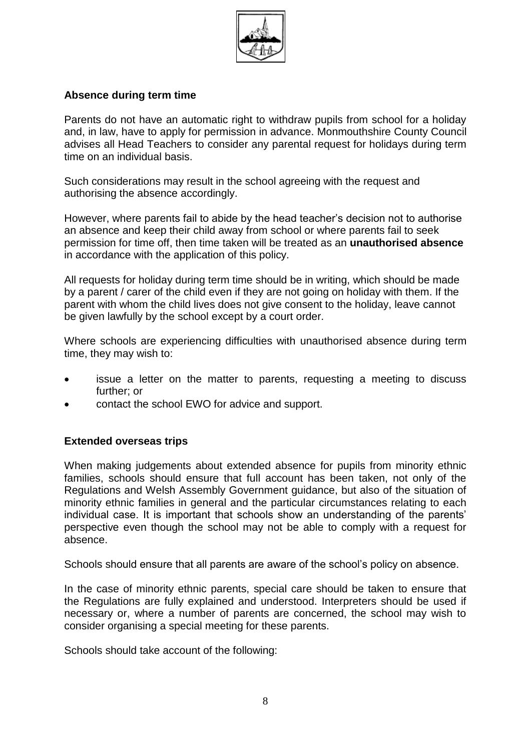

#### **Absence during term time**

Parents do not have an automatic right to withdraw pupils from school for a holiday and, in law, have to apply for permission in advance. Monmouthshire County Council advises all Head Teachers to consider any parental request for holidays during term time on an individual basis.

Such considerations may result in the school agreeing with the request and authorising the absence accordingly.

However, where parents fail to abide by the head teacher's decision not to authorise an absence and keep their child away from school or where parents fail to seek permission for time off, then time taken will be treated as an **unauthorised absence** in accordance with the application of this policy.

All requests for holiday during term time should be in writing, which should be made by a parent / carer of the child even if they are not going on holiday with them. If the parent with whom the child lives does not give consent to the holiday, leave cannot be given lawfully by the school except by a court order.

Where schools are experiencing difficulties with unauthorised absence during term time, they may wish to:

- issue a letter on the matter to parents, requesting a meeting to discuss further; or
- contact the school EWO for advice and support.

#### **Extended overseas trips**

When making judgements about extended absence for pupils from minority ethnic families, schools should ensure that full account has been taken, not only of the Regulations and Welsh Assembly Government guidance, but also of the situation of minority ethnic families in general and the particular circumstances relating to each individual case. It is important that schools show an understanding of the parents' perspective even though the school may not be able to comply with a request for absence.

Schools should ensure that all parents are aware of the school's policy on absence.

In the case of minority ethnic parents, special care should be taken to ensure that the Regulations are fully explained and understood. Interpreters should be used if necessary or, where a number of parents are concerned, the school may wish to consider organising a special meeting for these parents.

Schools should take account of the following: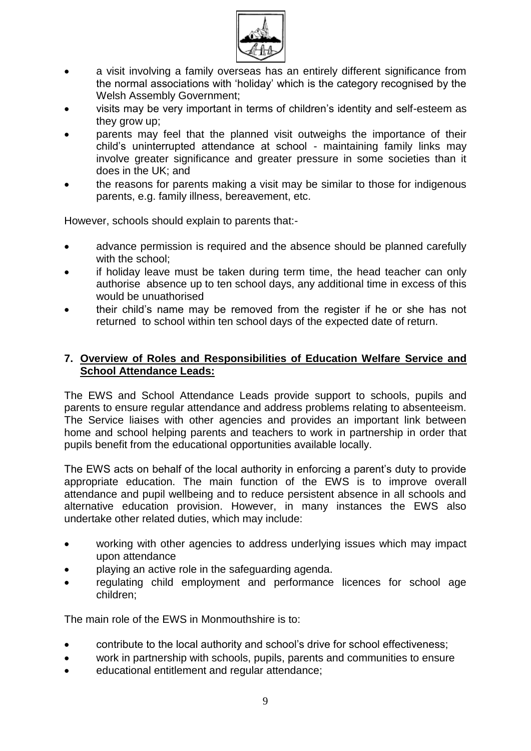

- a visit involving a family overseas has an entirely different significance from the normal associations with 'holiday' which is the category recognised by the Welsh Assembly Government;
- visits may be very important in terms of children's identity and self-esteem as they grow up;
- parents may feel that the planned visit outweighs the importance of their child's uninterrupted attendance at school - maintaining family links may involve greater significance and greater pressure in some societies than it does in the UK; and
- the reasons for parents making a visit may be similar to those for indigenous parents, e.g. family illness, bereavement, etc.

However, schools should explain to parents that:-

- advance permission is required and the absence should be planned carefully with the school:
- if holiday leave must be taken during term time, the head teacher can only authorise absence up to ten school days, any additional time in excess of this would be unuathorised
- their child's name may be removed from the register if he or she has not returned to school within ten school days of the expected date of return.

#### **7. Overview of Roles and Responsibilities of Education Welfare Service and School Attendance Leads:**

The EWS and School Attendance Leads provide support to schools, pupils and parents to ensure regular attendance and address problems relating to absenteeism. The Service liaises with other agencies and provides an important link between home and school helping parents and teachers to work in partnership in order that pupils benefit from the educational opportunities available locally.

The EWS acts on behalf of the local authority in enforcing a parent's duty to provide appropriate education. The main function of the EWS is to improve overall attendance and pupil wellbeing and to reduce persistent absence in all schools and alternative education provision. However, in many instances the EWS also undertake other related duties, which may include:

- working with other agencies to address underlying issues which may impact upon attendance
- playing an active role in the safeguarding agenda.
- regulating child employment and performance licences for school age children;

The main role of the EWS in Monmouthshire is to:

- contribute to the local authority and school's drive for school effectiveness;
- work in partnership with schools, pupils, parents and communities to ensure
- educational entitlement and regular attendance;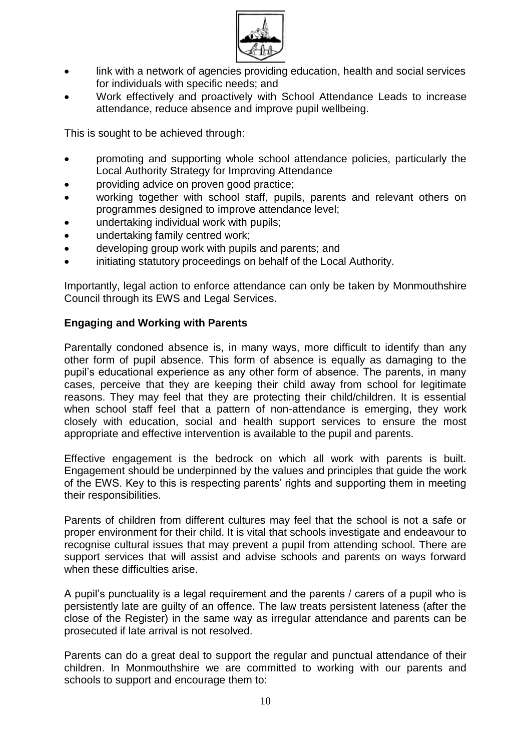

- link with a network of agencies providing education, health and social services for individuals with specific needs; and
- Work effectively and proactively with School Attendance Leads to increase attendance, reduce absence and improve pupil wellbeing.

This is sought to be achieved through:

- promoting and supporting whole school attendance policies, particularly the Local Authority Strategy for Improving Attendance
- providing advice on proven good practice;
- working together with school staff, pupils, parents and relevant others on programmes designed to improve attendance level;
- undertaking individual work with pupils;
- undertaking family centred work;
- developing group work with pupils and parents; and
- initiating statutory proceedings on behalf of the Local Authority.

Importantly, legal action to enforce attendance can only be taken by Monmouthshire Council through its EWS and Legal Services.

### **Engaging and Working with Parents**

Parentally condoned absence is, in many ways, more difficult to identify than any other form of pupil absence. This form of absence is equally as damaging to the pupil's educational experience as any other form of absence. The parents, in many cases, perceive that they are keeping their child away from school for legitimate reasons. They may feel that they are protecting their child/children. It is essential when school staff feel that a pattern of non-attendance is emerging, they work closely with education, social and health support services to ensure the most appropriate and effective intervention is available to the pupil and parents.

Effective engagement is the bedrock on which all work with parents is built. Engagement should be underpinned by the values and principles that guide the work of the EWS. Key to this is respecting parents' rights and supporting them in meeting their responsibilities.

Parents of children from different cultures may feel that the school is not a safe or proper environment for their child. It is vital that schools investigate and endeavour to recognise cultural issues that may prevent a pupil from attending school. There are support services that will assist and advise schools and parents on ways forward when these difficulties arise.

A pupil's punctuality is a legal requirement and the parents / carers of a pupil who is persistently late are guilty of an offence. The law treats persistent lateness (after the close of the Register) in the same way as irregular attendance and parents can be prosecuted if late arrival is not resolved.

Parents can do a great deal to support the regular and punctual attendance of their children. In Monmouthshire we are committed to working with our parents and schools to support and encourage them to: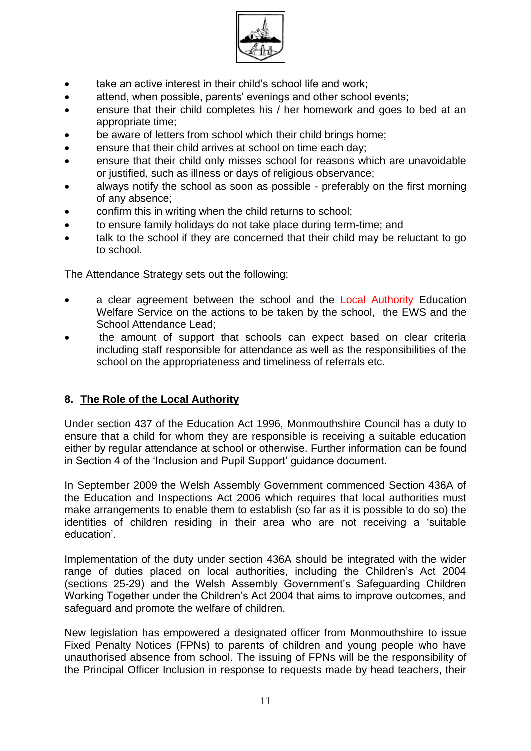

- take an active interest in their child's school life and work;
- attend, when possible, parents' evenings and other school events;
- ensure that their child completes his / her homework and goes to bed at an appropriate time;
- be aware of letters from school which their child brings home;
- ensure that their child arrives at school on time each day;
- ensure that their child only misses school for reasons which are unavoidable or justified, such as illness or days of religious observance;
- always notify the school as soon as possible preferably on the first morning of any absence;
- confirm this in writing when the child returns to school;
- to ensure family holidays do not take place during term-time; and
- talk to the school if they are concerned that their child may be reluctant to go to school.

The Attendance Strategy sets out the following:

- a clear agreement between the school and the Local Authority Education Welfare Service on the actions to be taken by the school, the EWS and the School Attendance Lead;
- the amount of support that schools can expect based on clear criteria including staff responsible for attendance as well as the responsibilities of the school on the appropriateness and timeliness of referrals etc.

# **8. The Role of the Local Authority**

Under section 437 of the Education Act 1996, Monmouthshire Council has a duty to ensure that a child for whom they are responsible is receiving a suitable education either by regular attendance at school or otherwise. Further information can be found in Section 4 of the 'Inclusion and Pupil Support' guidance document.

In September 2009 the Welsh Assembly Government commenced Section 436A of the Education and Inspections Act 2006 which requires that local authorities must make arrangements to enable them to establish (so far as it is possible to do so) the identities of children residing in their area who are not receiving a 'suitable education'.

Implementation of the duty under section 436A should be integrated with the wider range of duties placed on local authorities, including the Children's Act 2004 (sections 25-29) and the Welsh Assembly Government's Safeguarding Children Working Together under the Children's Act 2004 that aims to improve outcomes, and safeguard and promote the welfare of children.

New legislation has empowered a designated officer from Monmouthshire to issue Fixed Penalty Notices (FPNs) to parents of children and young people who have unauthorised absence from school. The issuing of FPNs will be the responsibility of the Principal Officer Inclusion in response to requests made by head teachers, their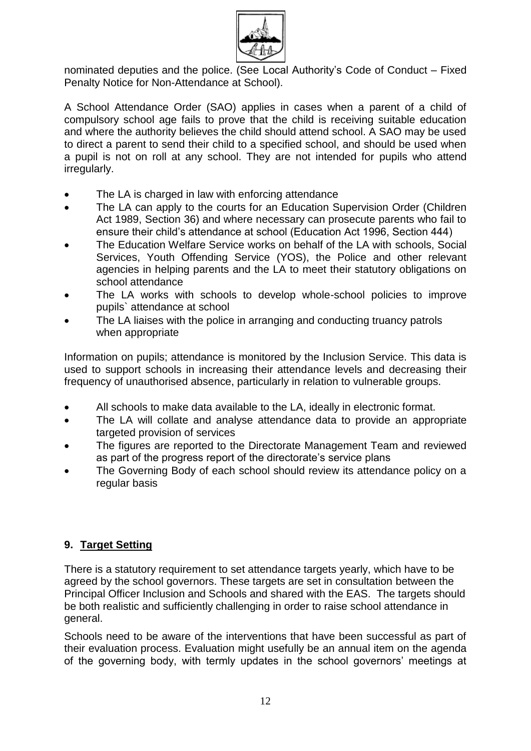

nominated deputies and the police. (See Local Authority's Code of Conduct – Fixed Penalty Notice for Non-Attendance at School).

A School Attendance Order (SAO) applies in cases when a parent of a child of compulsory school age fails to prove that the child is receiving suitable education and where the authority believes the child should attend school. A SAO may be used to direct a parent to send their child to a specified school, and should be used when a pupil is not on roll at any school. They are not intended for pupils who attend irregularly.

- The LA is charged in law with enforcing attendance
- The LA can apply to the courts for an Education Supervision Order (Children Act 1989, Section 36) and where necessary can prosecute parents who fail to ensure their child's attendance at school (Education Act 1996, Section 444)
- The Education Welfare Service works on behalf of the LA with schools, Social Services, Youth Offending Service (YOS), the Police and other relevant agencies in helping parents and the LA to meet their statutory obligations on school attendance
- The LA works with schools to develop whole-school policies to improve pupils` attendance at school
- The LA liaises with the police in arranging and conducting truancy patrols when appropriate

Information on pupils; attendance is monitored by the Inclusion Service. This data is used to support schools in increasing their attendance levels and decreasing their frequency of unauthorised absence, particularly in relation to vulnerable groups.

- All schools to make data available to the LA, ideally in electronic format.
- The LA will collate and analyse attendance data to provide an appropriate targeted provision of services
- The figures are reported to the Directorate Management Team and reviewed as part of the progress report of the directorate's service plans
- The Governing Body of each school should review its attendance policy on a regular basis

# **9. Target Setting**

There is a statutory requirement to set attendance targets yearly, which have to be agreed by the school governors. These targets are set in consultation between the Principal Officer Inclusion and Schools and shared with the EAS. The targets should be both realistic and sufficiently challenging in order to raise school attendance in general.

Schools need to be aware of the interventions that have been successful as part of their evaluation process. Evaluation might usefully be an annual item on the agenda of the governing body, with termly updates in the school governors' meetings at